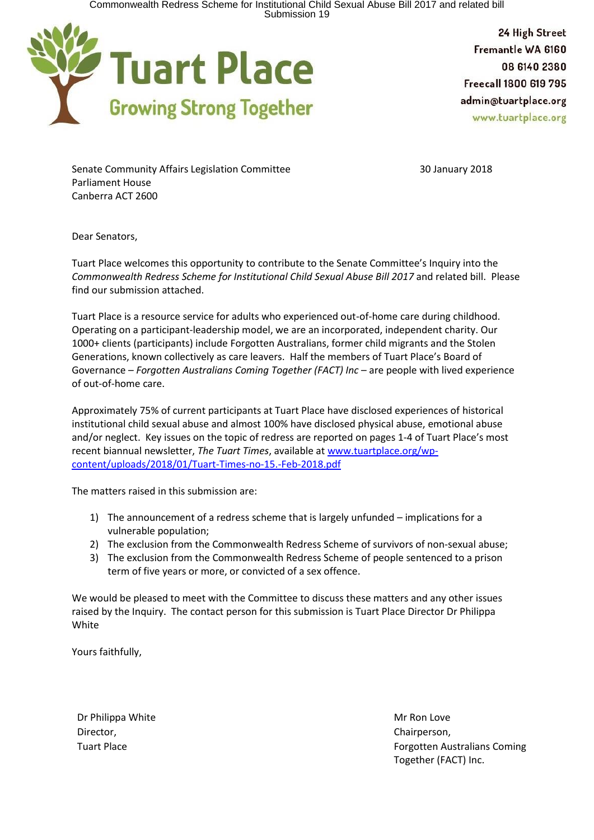Commonwealth Redress Scheme for Institutional Child Sexual Abuse Bill 2017 and related bill<br>Submission 19



24 High Street Fremantle WA 6160 08 6140 2380 Freecall 1800 619 795 admin@tuartplace.org www.tuartplace.org

Senate Community Affairs Legislation Committee 30 January 2018 Parliament House Canberra ACT 2600

Dear Senators,

Tuart Place welcomes this opportunity to contribute to the Senate Committee's Inquiry into the *Commonwealth Redress Scheme for Institutional Child Sexual Abuse Bill 2017* and related bill. Please find our submission attached.

Tuart Place is a resource service for adults who experienced out-of-home care during childhood. Operating on a participant-leadership model, we are an incorporated, independent charity. Our 1000+ clients (participants) include Forgotten Australians, former child migrants and the Stolen Generations, known collectively as care leavers. Half the members of Tuart Place's Board of Governance – *Forgotten Australians Coming Together (FACT) Inc* – are people with lived experience of out-of-home care.

Approximately 75% of current participants at Tuart Place have disclosed experiences of historical institutional child sexual abuse and almost 100% have disclosed physical abuse, emotional abuse and/or neglect. Key issues on the topic of redress are reported on pages 1-4 of Tuart Place's most recent biannual newsletter, *The Tuart Times*, available at [www.tuartplace.org/wp](https://www.tuartplace.org/wp-content/uploads/2018/01/Tuart-Times-no-15.-Feb-2018.pdf)[content/uploads/2018/01/Tuart-Times-no-15.-Feb-2018.pdf](https://www.tuartplace.org/wp-content/uploads/2018/01/Tuart-Times-no-15.-Feb-2018.pdf)

The matters raised in this submission are:

- 1) The announcement of a redress scheme that is largely unfunded implications for a vulnerable population;
- 2) The exclusion from the Commonwealth Redress Scheme of survivors of non-sexual abuse;
- 3) The exclusion from the Commonwealth Redress Scheme of people sentenced to a prison term of five years or more, or convicted of a sex offence.

We would be pleased to meet with the Committee to discuss these matters and any other issues raised by the Inquiry. The contact person for this submission is Tuart Place Director Dr Philippa White

Yours faithfully,

Dr Philippa White Mr Ron Love Mr Ron Love Mr Ron Love Director, **Chairperson, Chairperson, Chairperson, Chairperson, Chairperson, Chairperson, Chairperson, Chairperson, Chairperson, Chairperson, Chairperson, Chairperson, Chairperson, Chairperson, Chairperson, Chairperson, Cha** 

Tuart Place **Forgotten Australians Coming** Together (FACT) Inc.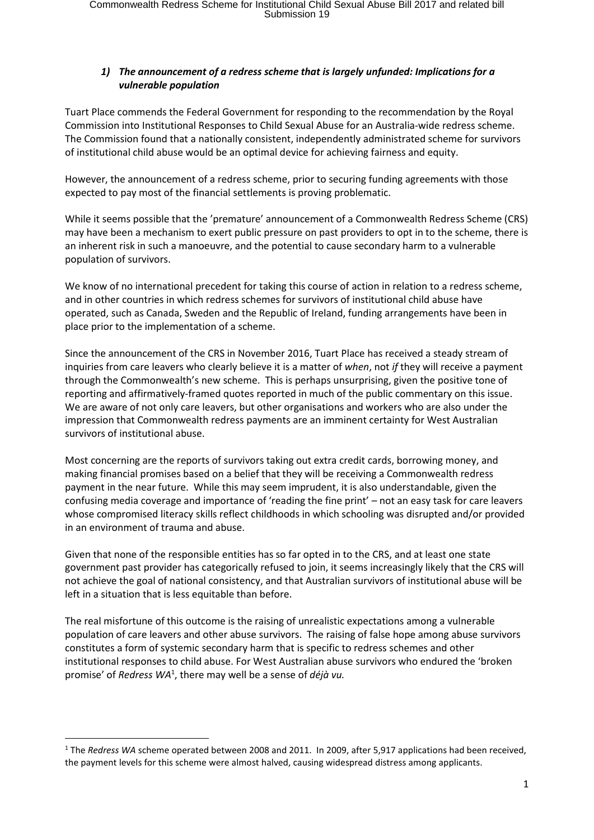## *1) The announcement of a redress scheme that is largely unfunded: Implications for a vulnerable population*

Tuart Place commends the Federal Government for responding to the recommendation by the Royal Commission into Institutional Responses to Child Sexual Abuse for an Australia-wide redress scheme. The Commission found that a nationally consistent, independently administrated scheme for survivors of institutional child abuse would be an optimal device for achieving fairness and equity.

However, the announcement of a redress scheme, prior to securing funding agreements with those expected to pay most of the financial settlements is proving problematic.

While it seems possible that the 'premature' announcement of a Commonwealth Redress Scheme (CRS) may have been a mechanism to exert public pressure on past providers to opt in to the scheme, there is an inherent risk in such a manoeuvre, and the potential to cause secondary harm to a vulnerable population of survivors.

We know of no international precedent for taking this course of action in relation to a redress scheme, and in other countries in which redress schemes for survivors of institutional child abuse have operated, such as Canada, Sweden and the Republic of Ireland, funding arrangements have been in place prior to the implementation of a scheme.

Since the announcement of the CRS in November 2016, Tuart Place has received a steady stream of inquiries from care leavers who clearly believe it is a matter of *when*, not *if* they will receive a payment through the Commonwealth's new scheme. This is perhaps unsurprising, given the positive tone of reporting and affirmatively-framed quotes reported in much of the public commentary on this issue. We are aware of not only care leavers, but other organisations and workers who are also under the impression that Commonwealth redress payments are an imminent certainty for West Australian survivors of institutional abuse.

Most concerning are the reports of survivors taking out extra credit cards, borrowing money, and making financial promises based on a belief that they will be receiving a Commonwealth redress payment in the near future. While this may seem imprudent, it is also understandable, given the confusing media coverage and importance of 'reading the fine print' – not an easy task for care leavers whose compromised literacy skills reflect childhoods in which schooling was disrupted and/or provided in an environment of trauma and abuse.

Given that none of the responsible entities has so far opted in to the CRS, and at least one state government past provider has categorically refused to join, it seems increasingly likely that the CRS will not achieve the goal of national consistency, and that Australian survivors of institutional abuse will be left in a situation that is less equitable than before.

The real misfortune of this outcome is the raising of unrealistic expectations among a vulnerable population of care leavers and other abuse survivors. The raising of false hope among abuse survivors constitutes a form of systemic secondary harm that is specific to redress schemes and other institutional responses to child abuse. For West Australian abuse survivors who endured the 'broken promise' of *Redress WA*<sup>1</sup> , there may well be a sense of *déjà vu.*

 $\overline{a}$ <sup>1</sup> The *Redress WA* scheme operated between 2008 and 2011. In 2009, after 5,917 applications had been received, the payment levels for this scheme were almost halved, causing widespread distress among applicants.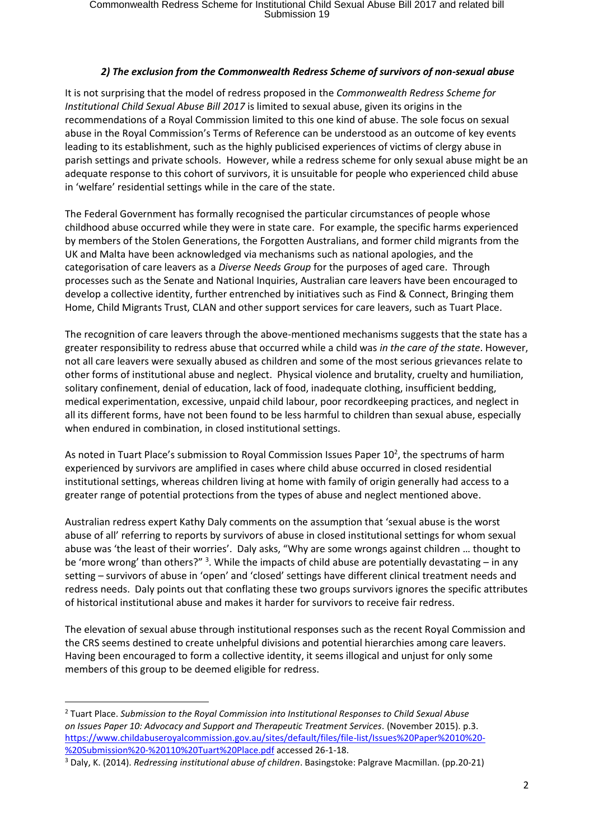## *2) The exclusion from the Commonwealth Redress Scheme of survivors of non-sexual abuse*

It is not surprising that the model of redress proposed in the *Commonwealth Redress Scheme for Institutional Child Sexual Abuse Bill 2017* is limited to sexual abuse, given its origins in the recommendations of a Royal Commission limited to this one kind of abuse. The sole focus on sexual abuse in the Royal Commission's Terms of Reference can be understood as an outcome of key events leading to its establishment, such as the highly publicised experiences of victims of clergy abuse in parish settings and private schools. However, while a redress scheme for only sexual abuse might be an adequate response to this cohort of survivors, it is unsuitable for people who experienced child abuse in 'welfare' residential settings while in the care of the state.

The Federal Government has formally recognised the particular circumstances of people whose childhood abuse occurred while they were in state care. For example, the specific harms experienced by members of the Stolen Generations, the Forgotten Australians, and former child migrants from the UK and Malta have been acknowledged via mechanisms such as national apologies, and the categorisation of care leavers as a *Diverse Needs Group* for the purposes of aged care. Through processes such as the Senate and National Inquiries, Australian care leavers have been encouraged to develop a collective identity, further entrenched by initiatives such as Find & Connect, Bringing them Home, Child Migrants Trust, CLAN and other support services for care leavers, such as Tuart Place.

The recognition of care leavers through the above-mentioned mechanisms suggests that the state has a greater responsibility to redress abuse that occurred while a child was *in the care of the state*. However, not all care leavers were sexually abused as children and some of the most serious grievances relate to other forms of institutional abuse and neglect. Physical violence and brutality, cruelty and humiliation, solitary confinement, denial of education, lack of food, inadequate clothing, insufficient bedding, medical experimentation, excessive, unpaid child labour, poor recordkeeping practices, and neglect in all its different forms, have not been found to be less harmful to children than sexual abuse, especially when endured in combination, in closed institutional settings.

As noted in Tuart Place's submission to Royal Commission Issues Paper  $10<sup>2</sup>$ , the spectrums of harm experienced by survivors are amplified in cases where child abuse occurred in closed residential institutional settings, whereas children living at home with family of origin generally had access to a greater range of potential protections from the types of abuse and neglect mentioned above.

Australian redress expert Kathy Daly comments on the assumption that 'sexual abuse is the worst abuse of all' referring to reports by survivors of abuse in closed institutional settings for whom sexual abuse was 'the least of their worries'. Daly asks, "Why are some wrongs against children … thought to be 'more wrong' than others?" <sup>3</sup>. While the impacts of child abuse are potentially devastating – in any setting – survivors of abuse in 'open' and 'closed' settings have different clinical treatment needs and redress needs. Daly points out that conflating these two groups survivors ignores the specific attributes of historical institutional abuse and makes it harder for survivors to receive fair redress.

The elevation of sexual abuse through institutional responses such as the recent Royal Commission and the CRS seems destined to create unhelpful divisions and potential hierarchies among care leavers. Having been encouraged to form a collective identity, it seems illogical and unjust for only some members of this group to be deemed eligible for redress.

 $\overline{a}$ 

<sup>2</sup> Tuart Place. *Submission to the Royal Commission into Institutional Responses to Child Sexual Abuse on Issues Paper 10: Advocacy and Support and Therapeutic Treatment Services.* (November 2015). p.3. [https://www.childabuseroyalcommission.gov.au/sites/default/files/file-list/Issues%20Paper%2010%20-](https://www.childabuseroyalcommission.gov.au/sites/default/files/file-list/Issues%20Paper%2010%20-%20Submission%20-%20110%20Tuart%20Place.pdf) [%20Submission%20-%20110%20Tuart%20Place.pdf](https://www.childabuseroyalcommission.gov.au/sites/default/files/file-list/Issues%20Paper%2010%20-%20Submission%20-%20110%20Tuart%20Place.pdf) accessed 26-1-18.

<sup>3</sup> Daly, K. (2014). *Redressing institutional abuse of children*. Basingstoke: Palgrave Macmillan. (pp.20-21)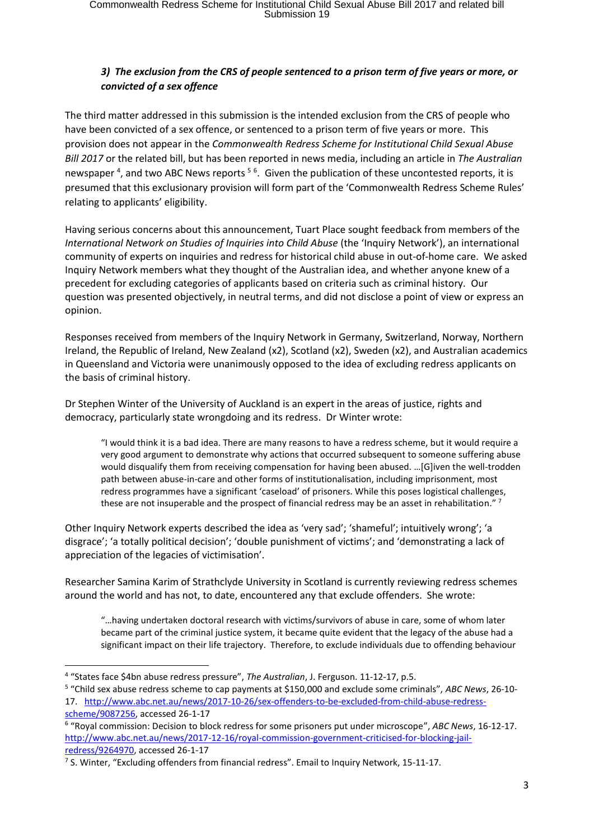## *3) The exclusion from the CRS of people sentenced to a prison term of five years or more, or convicted of a sex offence*

The third matter addressed in this submission is the intended exclusion from the CRS of people who have been convicted of a sex offence, or sentenced to a prison term of five years or more. This provision does not appear in the *Commonwealth Redress Scheme for Institutional Child Sexual Abuse Bill 2017* or the related bill, but has been reported in news media, including an article in *The Australian* newspaper<sup>4</sup>, and two ABC News reports <sup>56</sup>. Given the publication of these uncontested reports, it is presumed that this exclusionary provision will form part of the 'Commonwealth Redress Scheme Rules' relating to applicants' eligibility.

Having serious concerns about this announcement, Tuart Place sought feedback from members of the *International Network on Studies of Inquiries into Child Abuse* (the 'Inquiry Network'), an international community of experts on inquiries and redress for historical child abuse in out-of-home care. We asked Inquiry Network members what they thought of the Australian idea, and whether anyone knew of a precedent for excluding categories of applicants based on criteria such as criminal history. Our question was presented objectively, in neutral terms, and did not disclose a point of view or express an opinion.

Responses received from members of the Inquiry Network in Germany, Switzerland, Norway, Northern Ireland, the Republic of Ireland, New Zealand (x2), Scotland (x2), Sweden (x2), and Australian academics in Queensland and Victoria were unanimously opposed to the idea of excluding redress applicants on the basis of criminal history.

Dr Stephen Winter of the University of Auckland is an expert in the areas of justice, rights and democracy, particularly state wrongdoing and its redress. Dr Winter wrote:

"I would think it is a bad idea. There are many reasons to have a redress scheme, but it would require a very good argument to demonstrate why actions that occurred subsequent to someone suffering abuse would disqualify them from receiving compensation for having been abused. …[G]iven the well-trodden path between abuse-in-care and other forms of institutionalisation, including imprisonment, most redress programmes have a significant 'caseload' of prisoners. While this poses logistical challenges, these are not insuperable and the prospect of financial redress may be an asset in rehabilitation."  $^7$ 

Other Inquiry Network experts described the idea as 'very sad'; 'shameful'; intuitively wrong'; 'a disgrace'; 'a totally political decision'; 'double punishment of victims'; and 'demonstrating a lack of appreciation of the legacies of victimisation'.

Researcher Samina Karim of Strathclyde University in Scotland is currently reviewing redress schemes around the world and has not, to date, encountered any that exclude offenders. She wrote:

"…having undertaken doctoral research with victims/survivors of abuse in care, some of whom later became part of the criminal justice system, it became quite evident that the legacy of the abuse had a significant impact on their life trajectory. Therefore, to exclude individuals due to offending behaviour

 $\overline{a}$ 

<sup>4</sup> "States face \$4bn abuse redress pressure", *The Australian*, J. Ferguson. 11-12-17, p.5.

<sup>5</sup> "Child sex abuse redress scheme to cap payments at \$150,000 and exclude some criminals", *ABC News*, 26-10- 17. [http://www.abc.net.au/news/2017-10-26/sex-offenders-to-be-excluded-from-child-abuse-redress](http://www.abc.net.au/news/2017-10-26/sex-offenders-to-be-excluded-from-child-abuse-redress-scheme/9087256)[scheme/9087256,](http://www.abc.net.au/news/2017-10-26/sex-offenders-to-be-excluded-from-child-abuse-redress-scheme/9087256) accessed 26-1-17

<sup>6</sup> "Royal commission: Decision to block redress for some prisoners put under microscope", *ABC News*, 16-12-17. [http://www.abc.net.au/news/2017-12-16/royal-commission-government-criticised-for-blocking-jail](http://www.abc.net.au/news/2017-12-16/royal-commission-government-criticised-for-blocking-jail-redress/9264970)[redress/9264970,](http://www.abc.net.au/news/2017-12-16/royal-commission-government-criticised-for-blocking-jail-redress/9264970) accessed 26-1-17

<sup>&</sup>lt;sup>7</sup> S. Winter, "Excluding offenders from financial redress". Email to Inquiry Network, 15-11-17.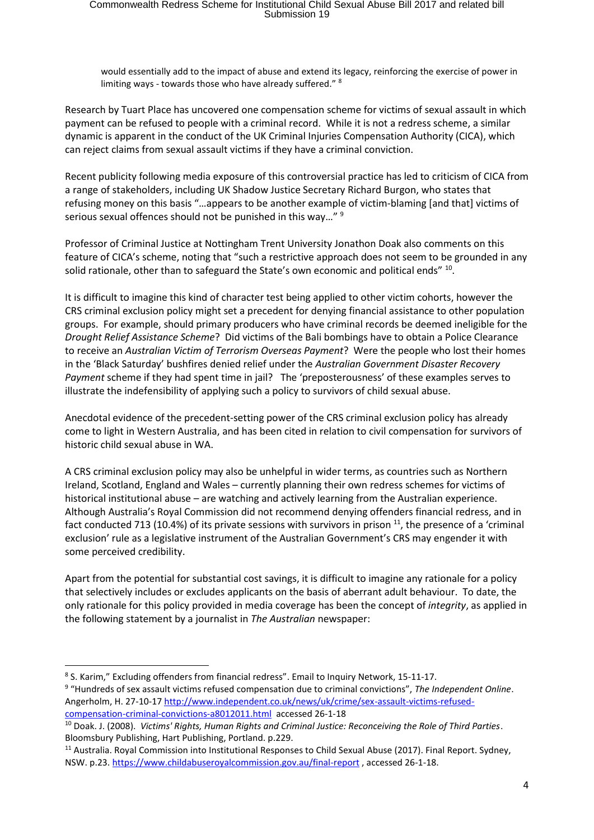would essentially add to the impact of abuse and extend its legacy, reinforcing the exercise of power in limiting ways - towards those who have already suffered." <sup>8</sup>

Research by Tuart Place has uncovered one compensation scheme for victims of sexual assault in which payment can be refused to people with a criminal record. While it is not a redress scheme, a similar dynamic is apparent in the conduct of the UK Criminal Injuries Compensation Authority (CICA), which can reject claims from sexual assault victims if they have a criminal conviction.

Recent publicity following media exposure of this controversial practice has led to criticism of CICA from a range of stakeholders, including UK Shadow Justice Secretary Richard Burgon, who states that refusing money on this basis "…appears to be another example of victim-blaming [and that] victims of serious sexual offences should not be punished in this way..." <sup>9</sup>

Professor of Criminal Justice at Nottingham Trent University Jonathon Doak also comments on this feature of CICA's scheme, noting that "such a restrictive approach does not seem to be grounded in any solid rationale, other than to safeguard the State's own economic and political ends"  $^{10}$ .

It is difficult to imagine this kind of character test being applied to other victim cohorts, however the CRS criminal exclusion policy might set a precedent for denying financial assistance to other population groups. For example, should primary producers who have criminal records be deemed ineligible for the *Drought Relief Assistance Scheme*? Did victims of the Bali bombings have to obtain a Police Clearance to receive an *Australian Victim of Terrorism Overseas Payment*? Were the people who lost their homes in the 'Black Saturday' bushfires denied relief under the *Australian Government Disaster Recovery Payment* scheme if they had spent time in jail? The 'preposterousness' of these examples serves to illustrate the indefensibility of applying such a policy to survivors of child sexual abuse.

Anecdotal evidence of the precedent-setting power of the CRS criminal exclusion policy has already come to light in Western Australia, and has been cited in relation to civil compensation for survivors of historic child sexual abuse in WA.

A CRS criminal exclusion policy may also be unhelpful in wider terms, as countries such as Northern Ireland, Scotland, England and Wales – currently planning their own redress schemes for victims of historical institutional abuse – are watching and actively learning from the Australian experience. Although Australia's Royal Commission did not recommend denying offenders financial redress, and in fact conducted 713 (10.4%) of its private sessions with survivors in prison  $^{11}$ , the presence of a 'criminal exclusion' rule as a legislative instrument of the Australian Government's CRS may engender it with some perceived credibility.

Apart from the potential for substantial cost savings, it is difficult to imagine any rationale for a policy that selectively includes or excludes applicants on the basis of aberrant adult behaviour. To date, the only rationale for this policy provided in media coverage has been the concept of *integrity*, as applied in the following statement by a journalist in *The Australian* newspaper:

 $\overline{a}$ 

9 "Hundreds of sex assault victims refused compensation due to criminal convictions", *The Independent Online*. Angerholm, H. 27-10-17 [http://www.independent.co.uk/news/uk/crime/sex-assault-victims-refused](http://www.independent.co.uk/news/uk/crime/sex-assault-victims-refused-compensation-criminal-convictions-a8012011.html)[compensation-criminal-convictions-a8012011.html](http://www.independent.co.uk/news/uk/crime/sex-assault-victims-refused-compensation-criminal-convictions-a8012011.html) accessed 26-1-18

<sup>&</sup>lt;sup>8</sup> S. Karim," Excluding offenders from financial redress". Email to Inquiry Network, 15-11-17.

<sup>10</sup> Doak. J. (2008). *Victims' Rights, Human Rights and Criminal Justice: Reconceiving the Role of Third Parties*. Bloomsbury Publishing, Hart Publishing, Portland. p.229.

<sup>11</sup> Australia. Royal Commission into Institutional Responses to Child Sexual Abuse (2017). Final Report. Sydney, NSW. p.23[. https://www.childabuseroyalcommission.gov.au/final-report](https://www.childabuseroyalcommission.gov.au/final-report) , accessed 26-1-18.